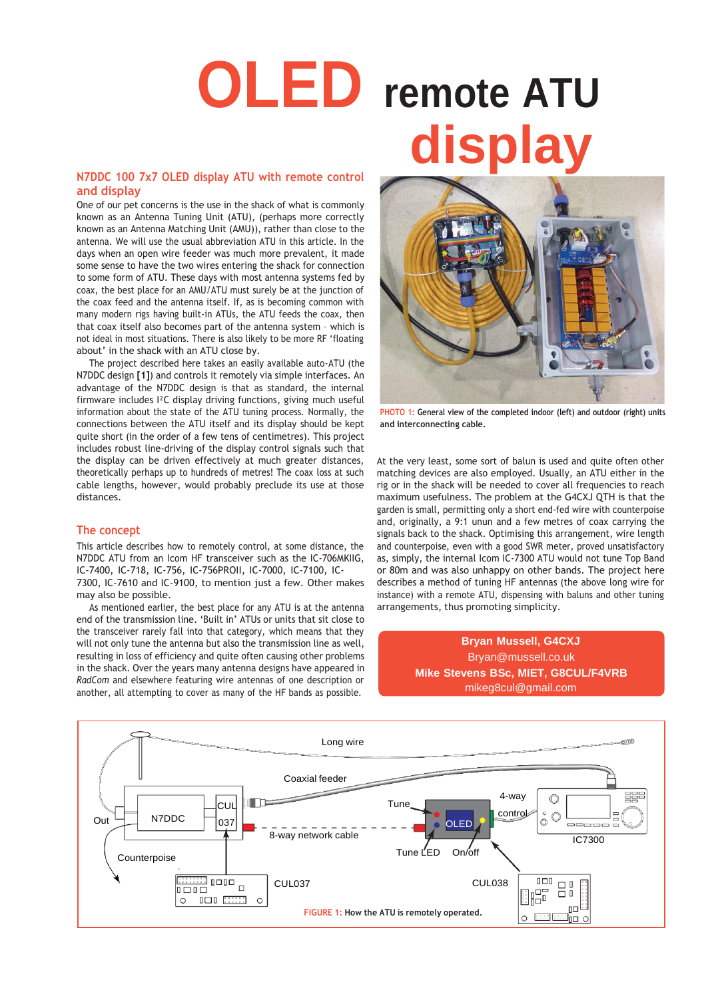# **OLED remote ATU N7DDC 100 7x7 OLED display ATU with remote control**

# **and display**

One of our pet concerns is the use in the shack of what is commonly known as an Antenna Tuning Unit (ATU), (perhaps more correctly known as an Antenna Matching Unit (AMU)), rather than close to the antenna. We will use the usual abbreviation ATU in this article. In the days when an open wire feeder was much more prevalent, it made some sense to have the two wires entering the shack for connection to some form of ATU. These days with most antenna systems fed by coax, the best place for an AMU/ATU must surely be at the junction of the coax feed and the antenna itself. If, as is becoming common with many modern rigs having built-in ATUs, the ATU feeds the coax, then that coax itself also becomes part of the antenna system – which is not ideal in most situations. There is also likely to be more RF 'floating about' in the shack with an ATU close by.

The project described here takes an easily available auto-ATU (the N7DDC design **[1]**) and controls it remotely via simple interfaces. An advantage of the N7DDC design is that as standard, the internal firmware includes I²C display driving functions, giving much useful information about the state of the ATU tuning process. Normally, the connections between the ATU itself and its display should be kept quite short (in the order of a few tens of centimetres). This project includes robust line-driving of the display control signals such that the display can be driven effectively at much greater distances, theoretically perhaps up to hundreds of metres! The coax loss at such cable lengths, however, would probably preclude its use at those distances.

#### **The concept**

This article describes how to remotely control, at some distance, the N7DDC ATU from an Icom HF transceiver such as the IC-706MKIIG, IC-7400, IC-718, IC-756, IC-756PROII, IC-7000, IC-7100, IC-

7300, IC-7610 and IC-9100, to mention just a few. Other makes may also be possible.

As mentioned earlier, the best place for any ATU is at the antenna end of the transmission line. 'Built in' ATUs or units that sit close to the transceiver rarely fall into that category, which means that they will not only tune the antenna but also the transmission line as well, resulting in loss of efficiency and quite often causing other problems in the shack. Over the years many antenna designs have appeared in *RadCom* and elsewhere featuring wire antennas of one description or another, all attempting to cover as many of the HF bands as possible.



**PHOTO 1: General view of the completed indoor (left) and outdoor (right) units and interconnecting cable.**

At the very least, some sort of balun is used and quite often other matching devices are also employed. Usually, an ATU either in the rig or in the shack will be needed to cover all frequencies to reach maximum usefulness. The problem at the G4CXJ QTH is that the garden is small, permitting only a short end-fed wire with counterpoise and, originally, a 9:1 unun and a few metres of coax carrying the signals back to the shack. Optimising this arrangement, wire length and counterpoise, even with a good SWR meter, proved unsatisfactory as, simply, the internal Icom IC-7300 ATU would not tune Top Band or 80m and was also unhappy on other bands. The project here describes a method of tuning HF antennas (the above long wire for instance) with a remote ATU, dispensing with baluns and other tuning arrangements, thus promoting simplicity.

# **Bryan Mussell, G4CXJ** [Bryan@mussell.co.uk](mailto:Bryan@mussell.co.uk) **Mike Stevens BSc, MIET, G8CUL/F4VRB** [mik](mailto:mikeg8cul@gmail.com)[eg8cul@gmail.com](mailto:eg8cul@gmail.com)

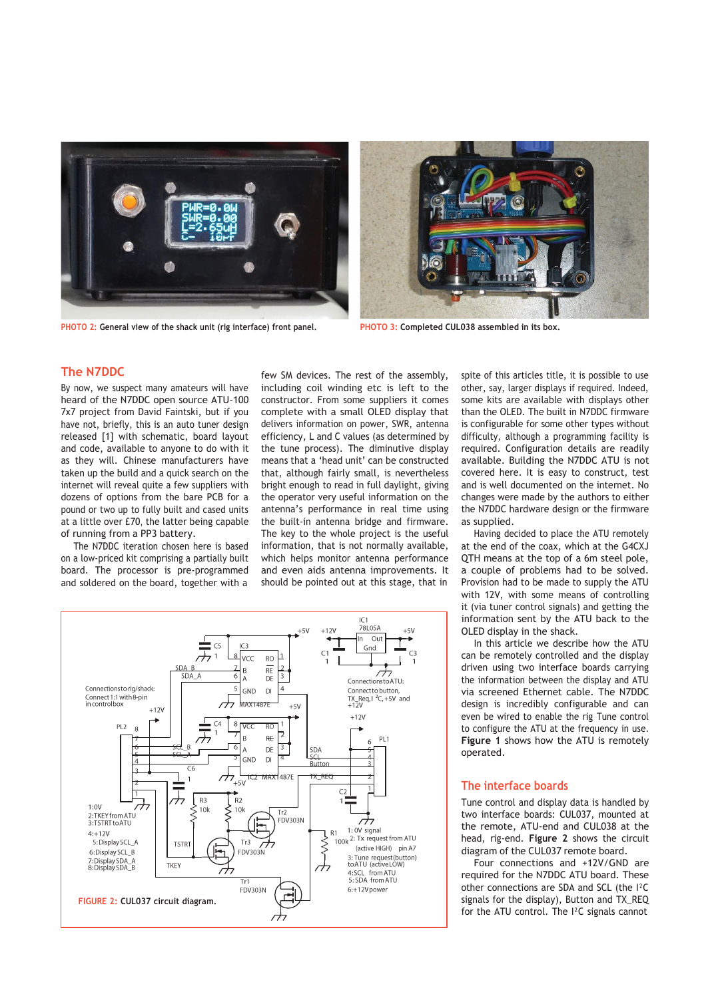

PHOTO 2: General view of the shack unit (rig interface) front panel. PHOTO 3: Completed CUL038 assembled in its box.



#### **The N7DDC**

By now, we suspect many amateurs will have heard of the N7DDC open source ATU-100 7x7 project from David Faintski, but if you have not, briefly, this is an auto tuner design released [1] with schematic, board layout and code, available to anyone to do with it as they will. Chinese manufacturers have taken up the build and a quick search on the internet will reveal quite a few suppliers with dozens of options from the bare PCB for a pound or two up to fully built and cased units at a little over £70, the latter being capable of running from a PP3 battery.

The N7DDC iteration chosen here is based on a low-priced kit comprising a partially built board. The processor is pre-programmed and soldered on the board, together with a few SM devices. The rest of the assembly, including coil winding etc is left to the constructor. From some suppliers it comes complete with a small OLED display that delivers information on power, SWR, antenna efficiency, L and C values (as determined by the tune process). The diminutive display means that a 'head unit' can be constructed that, although fairly small, is nevertheless bright enough to read in full daylight, giving the operator very useful information on the antenna's performance in real time using the built-in antenna bridge and firmware. The key to the whole project is the useful information, that is not normally available, which helps monitor antenna performance and even aids antenna improvements. It should be pointed out at this stage, that in



spite of this articles title, it is possible to use other, say, larger displays if required. Indeed, some kits are available with displays other than the OLED. The built in N7DDC firmware is configurable for some other types without difficulty, although a programming facility is required. Configuration details are readily available. Building the N7DDC ATU is not covered here. It is easy to construct, test and is well documented on the internet. No changes were made by the authors to either the N7DDC hardware design or the firmware as supplied.

Having decided to place the ATU remotely at the end of the coax, which at the G4CXJ QTH means at the top of a 6m steel pole, a couple of problems had to be solved. Provision had to be made to supply the ATU with 12V, with some means of controlling it (via tuner control signals) and getting the information sent by the ATU back to the OLED display in the shack.

In this article we describe how the ATU can be remotely controlled and the display driven using two interface boards carrying the information between the display and ATU via screened Ethernet cable. The N7DDC design is incredibly configurable and can even be wired to enable the rig Tune control to configure the ATU at the frequency in use. **Figure 1** shows how the ATU is remotely operated.

### **The interface boards**

Tune control and display data is handled by two interface boards: CUL037, mounted at the remote, ATU-end and CUL038 at the head, rig-end. **Figure 2** shows the circuit diagram of the CUL037 remote board.

Four connections and +12V/GND are required for the N7DDC ATU board. These other connections are SDA and SCL (the I²C signals for the display), Button and TX\_REQ for the ATU control. The I²C signals cannot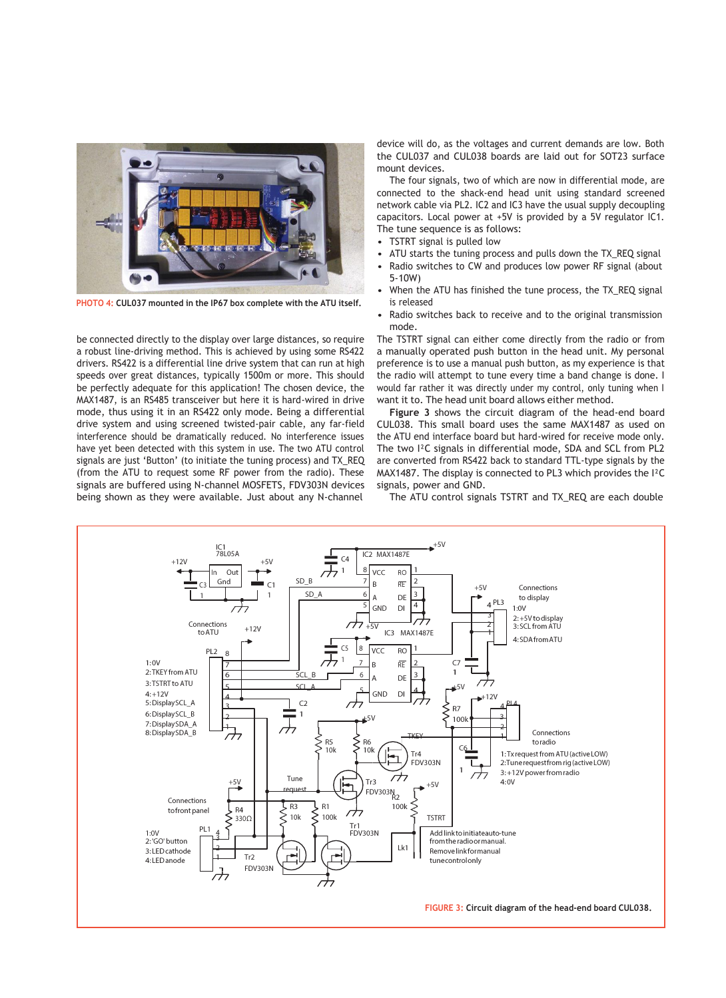

**PHOTO 4: CUL037 mounted in the IP67 box complete with the ATU itself.**

be connected directly to the display over large distances, so require a robust line-driving method. This is achieved by using some RS422 drivers. RS422 is a differential line drive system that can run at high speeds over great distances, typically 1500m or more. This should be perfectly adequate for this application! The chosen device, the MAX1487, is an RS485 transceiver but here it is hard-wired in drive mode, thus using it in an RS422 only mode. Being a differential drive system and using screened twisted-pair cable, any far-field interference should be dramatically reduced. No interference issues have yet been detected with this system in use. The two ATU control signals are just 'Button' (to initiate the tuning process) and TX\_REQ (from the ATU to request some RF power from the radio). These signals are buffered using N-channel MOSFETS, FDV303N devices being shown as they were available. Just about any N-channel

device will do, as the voltages and current demands are low. Both the CUL037 and CUL038 boards are laid out for SOT23 surface mount devices.

The four signals, two of which are now in differential mode, are connected to the shack-end head unit using standard screened network cable via PL2. IC2 and IC3 have the usual supply decoupling capacitors. Local power at +5V is provided by a 5V regulator IC1. The tune sequence is as follows:

- TSTRT signal is pulled low
- ATU starts the tuning process and pulls down the TX\_REQ signal
- Radio switches to CW and produces low power RF signal (about 5-10W)
- When the ATU has finished the tune process, the TX\_REQ signal is released
- Radio switches back to receive and to the original transmission mode.

The TSTRT signal can either come directly from the radio or from a manually operated push button in the head unit. My personal preference is to use a manual push button, as my experience is that the radio will attempt to tune every time a band change is done. I would far rather it was directly under my control, only tuning when I want it to. The head unit board allows either method.

**Figure 3** shows the circuit diagram of the head-end board CUL038. This small board uses the same MAX1487 as used on the ATU end interface board but hard-wired for receive mode only. The two I²C signals in differential mode, SDA and SCL from PL2 are converted from RS422 back to standard TTL-type signals by the MAX1487. The display is connected to PL3 which provides the I²C signals, power and GND.

The ATU control signals TSTRT and TX\_REQ are each double